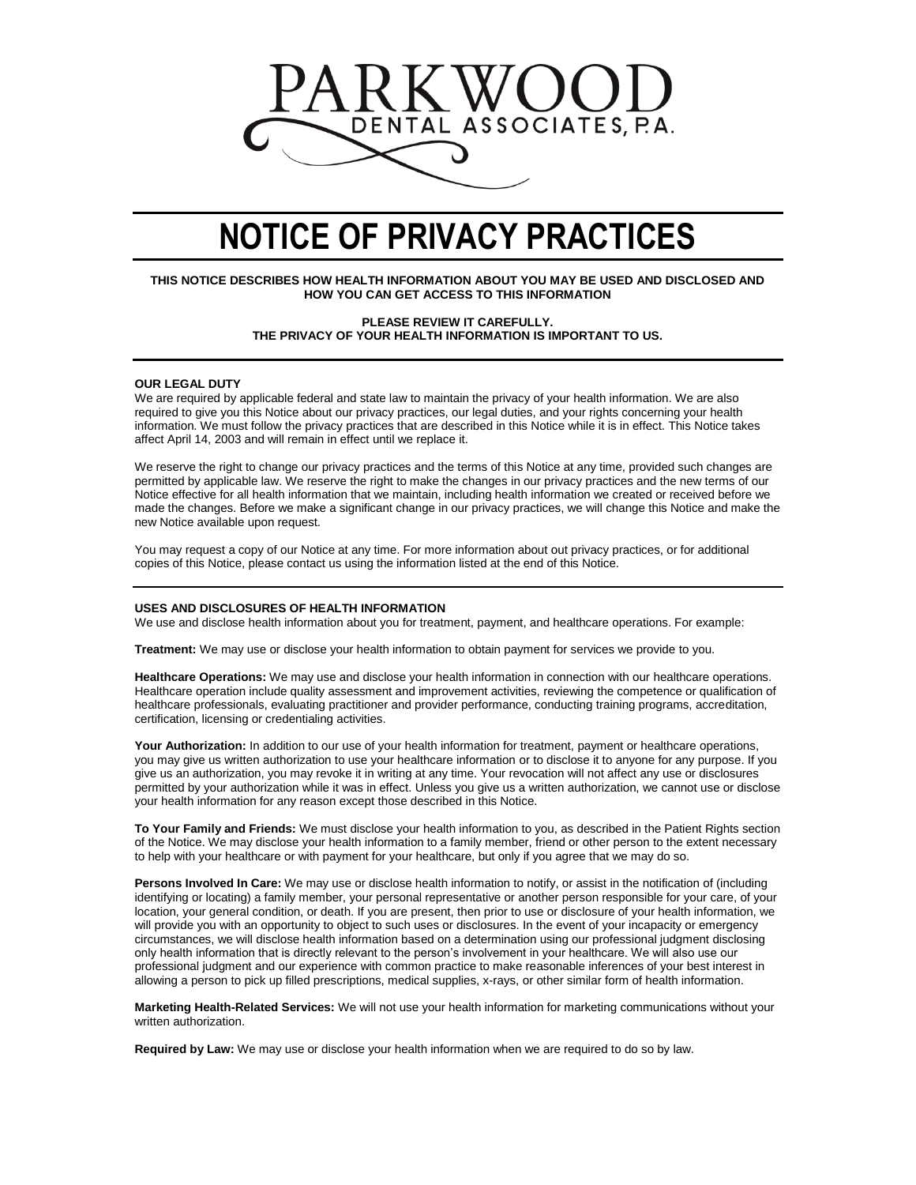

# **NOTICE OF PRIVACY PRACTICES**

**THIS NOTICE DESCRIBES HOW HEALTH INFORMATION ABOUT YOU MAY BE USED AND DISCLOSED AND HOW YOU CAN GET ACCESS TO THIS INFORMATION**

> **PLEASE REVIEW IT CAREFULLY. THE PRIVACY OF YOUR HEALTH INFORMATION IS IMPORTANT TO US.**

### **OUR LEGAL DUTY**

We are required by applicable federal and state law to maintain the privacy of your health information. We are also required to give you this Notice about our privacy practices, our legal duties, and your rights concerning your health information. We must follow the privacy practices that are described in this Notice while it is in effect. This Notice takes affect April 14, 2003 and will remain in effect until we replace it.

We reserve the right to change our privacy practices and the terms of this Notice at any time, provided such changes are permitted by applicable law. We reserve the right to make the changes in our privacy practices and the new terms of our Notice effective for all health information that we maintain, including health information we created or received before we made the changes. Before we make a significant change in our privacy practices, we will change this Notice and make the new Notice available upon request.

You may request a copy of our Notice at any time. For more information about out privacy practices, or for additional copies of this Notice, please contact us using the information listed at the end of this Notice.

### **USES AND DISCLOSURES OF HEALTH INFORMATION**

We use and disclose health information about you for treatment, payment, and healthcare operations. For example:

**Treatment:** We may use or disclose your health information to obtain payment for services we provide to you.

**Healthcare Operations:** We may use and disclose your health information in connection with our healthcare operations. Healthcare operation include quality assessment and improvement activities, reviewing the competence or qualification of healthcare professionals, evaluating practitioner and provider performance, conducting training programs, accreditation, certification, licensing or credentialing activities.

Your Authorization: In addition to our use of your health information for treatment, payment or healthcare operations, you may give us written authorization to use your healthcare information or to disclose it to anyone for any purpose. If you give us an authorization, you may revoke it in writing at any time. Your revocation will not affect any use or disclosures permitted by your authorization while it was in effect. Unless you give us a written authorization, we cannot use or disclose your health information for any reason except those described in this Notice.

**To Your Family and Friends:** We must disclose your health information to you, as described in the Patient Rights section of the Notice. We may disclose your health information to a family member, friend or other person to the extent necessary to help with your healthcare or with payment for your healthcare, but only if you agree that we may do so.

**Persons Involved In Care:** We may use or disclose health information to notify, or assist in the notification of (including identifying or locating) a family member, your personal representative or another person responsible for your care, of your location, your general condition, or death. If you are present, then prior to use or disclosure of your health information, we will provide you with an opportunity to object to such uses or disclosures. In the event of your incapacity or emergency circumstances, we will disclose health information based on a determination using our professional judgment disclosing only health information that is directly relevant to the person's involvement in your healthcare. We will also use our professional judgment and our experience with common practice to make reasonable inferences of your best interest in allowing a person to pick up filled prescriptions, medical supplies, x-rays, or other similar form of health information.

**Marketing Health-Related Services:** We will not use your health information for marketing communications without your written authorization.

**Required by Law:** We may use or disclose your health information when we are required to do so by law.